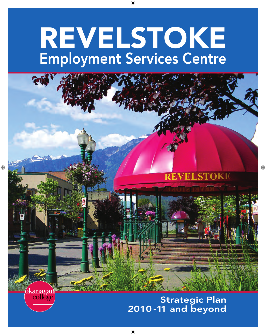# REVELSTOKE Employment Services Centre

◈



Strategic Plan 2010 - 11 and beyond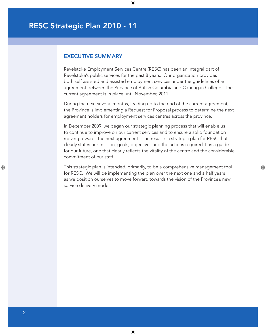#### EXECUTIVE SUMMARY

Revelstoke Employment Services Centre (RESC) has been an integral part of Revelstoke's public services for the past 8 years. Our organization provides both self assisted and assisted employment services under the guidelines of an agreement between the Province of British Columbia and Okanagan College. The current agreement is in place until November, 2011.

 $\bigoplus$ 

During the next several months, leading up to the end of the current agreement, the Province is implementing a Request for Proposal process to determine the next agreement holders for employment services centres across the province.

In December 2009, we began our strategic planning process that will enable us to continue to improve on our current services and to ensure a solid foundation moving towards the next agreement. The result is a strategic plan for RESC that clearly states our mission, goals, objectives and the actions required. It is a guide for our future, one that clearly reflects the vitality of the centre and the considerable commitment of our staff.

This strategic plan is intended, primarily, to be a comprehensive management tool for RESC. We will be implementing the plan over the next one and a half years as we position ourselves to move forward towards the vision of the Province's new service delivery model.

⊕

↔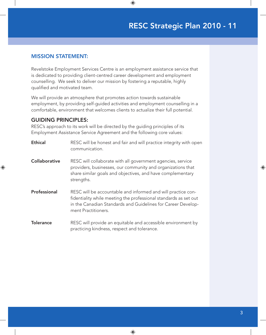#### MISSION STATEMENT:

Revelstoke Employment Services Centre is an employment assistance service that is dedicated to providing client-centred career development and employment counselling. We seek to deliver our mission by fostering a reputable, highly qualified and motivated team.

 $\bigoplus$ 

We will provide an atmosphere that promotes action towards sustainable employment, by providing self-guided activities and employment counselling in a comfortable, environment that welcomes clients to actualize their full potential.

#### GUIDING PRINCIPLES:

⊕

RESC's approach to its work will be directed by the guiding principles of its Employment Assistance Service Agreement and the following core values:

| <b>Ethical</b>       | RESC will be honest and fair and will practice integrity with open<br>communication.                                                                                                                                    |
|----------------------|-------------------------------------------------------------------------------------------------------------------------------------------------------------------------------------------------------------------------|
| <b>Collaborative</b> | RESC will collaborate with all government agencies, service<br>providers, businesses, our community and organizations that<br>share similar goals and objectives, and have complementary<br>strengths.                  |
| Professional         | RESC will be accountable and informed and will practice con-<br>fidentiality while meeting the professional standards as set out<br>in the Canadian Standards and Guidelines for Career Develop-<br>ment Practitioners. |
| <b>Tolerance</b>     | RESC will provide an equitable and accessible environment by<br>practicing kindness, respect and tolerance.                                                                                                             |

 $\bigoplus$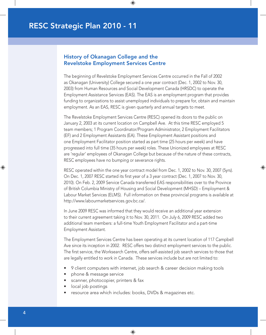### History of Okanagan College and the Revelstoke Employment Services Centre

 $\bigoplus$ 

The beginning of Revelstoke Employment Services Centre occurred in the Fall of 2002 as Okanagan (University) College secured a one year contract (Dec. 1, 2002 to Nov. 30, 2003) from Human Resources and Social Development Canada (HRSDC) to operate the Employment Assistance Services (EAS). The EAS is an employment program that provides funding to organizations to assist unemployed individuals to prepare for, obtain and maintain employment. As an EAS, RESC is given quarterly and annual targets to meet.

The Revelstoke Employment Services Centre (RESC) opened its doors to the public on January 2, 2003 at its current location on Campbell Ave. At this time RESC employed 5 team members; 1 Program Coordinator/Program Administrator, 2 Employment Facilitators (EF) and 2 Employment Assistants (EA). These Employment Assistant positions and one Employment Facilitator position started as part time (25 hours per week) and have progressed into full time (35 hours per week) roles. These Unionized employees at RESC are 'regular' employees of Okanagan College but because of the nature of these contracts, RESC employees have no bumping or severance rights.

RESC operated within the one year contract model from Dec. 1, 2002 to Nov. 30, 2007 (5yrs). On Dec. 1, 2007 RESC started its first year of a 3 year contract (Dec. 1, 2007 to Nov. 30, 2010). On Feb. 2, 2009 Service Canada transferred EAS responsibilities over to the Province of British Columbia Ministry of Housing and Social Development (MHSD) – Employment & Labour Market Services (ELMS). Full information on these provincial programs is available at [http://www.labourmarketservices.gov.bc.ca/.](http://www.labourmarketservices.gov.bc.ca/)

⊕

In June 2009 RESC was informed that they would receive an additional year extension to their current agreement taking it to Nov. 30, 2011. On July 6, 2009 RESC added two additional team members: a full-time Youth Employment Facilitator and a part-time Employment Assistant.

The Employment Services Centre has been operating at its current location of 117 Campbell Ave since its inception in 2002. RESC offers two distinct employment services to the public. The first service, the Worksearch Centre, offers self-assisted job search services to those that are legally entitled to work in Canada. These services include but are not limited to:

- 9 client computers with internet, job search & career decision making tools
- phone & message service
- scanner, photocopier, printers & fax
- local job postings
- resource area which includes: books, DVDs & magazines etc.

 $\bigoplus$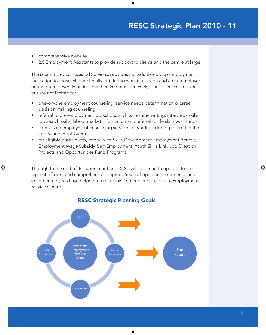comprehensive website

⊕

• 2.5 Employment Assistants to provide support to clients and the centre at large

 $\bigoplus$ 

The second service, Assisted Services, provides individual or group employment facilitation to those who are legally entitled to work in Canada and are unemployed or under employed (working less then 20 hours per week). These services include but are not limited to:

- one-on-one employment counseling, service needs determination & career decision making counseling
- referral to pre-employment workshops such as resume writing, interviews skills, job search skills, labour market information and referral to life skills workshops
- specialized employment counseling services for youth; including referral to the Job Search Boot Camp
- for eligible participants, referrals to Skills Development Employment Benefit, Employment Wage Subsidy, Self-Employment, Youth Skills Link, Job Creation Projects and Opportunities Fund Programs

Through to the end of its current contract, RESC will continue to operate to the highest efficient and comprehensive degree. Years of operating experience and skilled employees have helped to create this admired and successful Employment Service Centre



 $\bigoplus$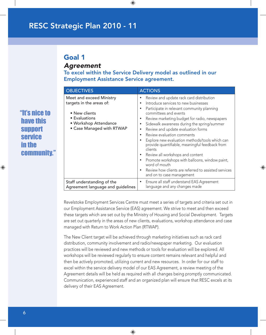### Goal 1 *Agreement*

To excel within the Service Delivery model as outlined in our Employment Assistance Service agreement.

 $\bigoplus$ 

| <b>OBJECTIVES</b>                                                                                                                            | <b>ACTIONS</b>                                                                                                                                                                                                                                                                                                                                                                                                                                                                                                                                                                                                                                                                |
|----------------------------------------------------------------------------------------------------------------------------------------------|-------------------------------------------------------------------------------------------------------------------------------------------------------------------------------------------------------------------------------------------------------------------------------------------------------------------------------------------------------------------------------------------------------------------------------------------------------------------------------------------------------------------------------------------------------------------------------------------------------------------------------------------------------------------------------|
| Meet and exceed Ministry<br>targets in the areas of:<br>• New clients<br>• Evaluations<br>• Workshop Attendance<br>• Case Managed with RTWAP | Review and update rack card distribution<br>Introduce services to new businesses<br>Participate in relevant community planning<br>$\bullet$<br>committees and events<br>Review marketing budget for radio, newspapers<br>Sidewalk awareness during the spring/summer<br>Review and update evaluation forms<br>Review evaluation comments<br>$\bullet$<br>Explore new evaluation methods/tools which can<br>provide quantifiable, meaningful feedback from<br>clients<br>Review all workshops and content<br>Promote workshops with balloons, window paint,<br>word of mouth<br>Review how clients are referred to assisted services<br>$\bullet$<br>and on to case management |
| Staff understanding of the<br>Agreement language and guidelines                                                                              | Ensure all staff understand EAS Agreement<br>language and any changes made                                                                                                                                                                                                                                                                                                                                                                                                                                                                                                                                                                                                    |

⊕

Revelstoke Employment Services Centre must meet a series of targets and criteria set out in our Employment Assistance Service (EAS) agreement. We strive to meet and then exceed these targets which are set out by the Ministry of Housing and Social Development. Targets are set out quarterly in the areas of new clients, evaluations, workshop attendance and case managed with Return to Work Action Plan (RTWAP).

The New Client target will be achieved through marketing initiatives such as rack card distribution, community involvement and radio/newspaper marketing. Our evaluation practices will be reviewed and new methods or tools for evaluation will be explored. All workshops will be reviewed regularly to ensure content remains relevant and helpful and then be actively promoted, utilizing current and new resources. In order for our staff to excel within the service delivery model of our EAS Agreement, a review meeting of the Agreement details will be held as required with all changes being promptly communicated. Communication, experienced staff and an organized plan will ensure that RESC excels at its delivery of their EAS Agreement.

 $\bigoplus$ 

"It's nice to have this support service in the community."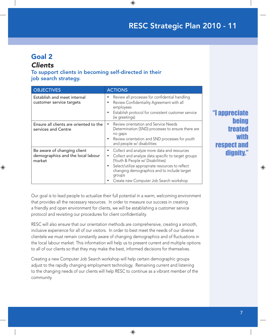# Goal 2

### *Clients*

♠

To support clients in becoming self-directed in their job search strategy.

| <b>OBJECTIVES</b>                                                          | <b>ACTIONS</b>                                                                                                                                                                                                                                                                                                                   |
|----------------------------------------------------------------------------|----------------------------------------------------------------------------------------------------------------------------------------------------------------------------------------------------------------------------------------------------------------------------------------------------------------------------------|
| Establish and meet internal<br>customer service targets                    | Review all processes for confidential handling<br>٠<br>Review Confidentiality Agreement with all<br>$\bullet$<br>employees<br>Establish protocol for consistent customer service<br>$\bullet$<br>(ie greetings)                                                                                                                  |
| Ensure all clients are oriented to the<br>services and Centre              | Review orientation and Service Needs<br>$\bullet$<br>Determination (SND) processes to ensure there are<br>no gaps<br>Review orientation and SND processes for youth<br>$\bullet$<br>and people w/ disabilities                                                                                                                   |
| Be aware of changing client<br>demographics and the local labour<br>market | Collect and analyze more data and resources<br>٠<br>Collect and analyze data specific to target groups<br>$\bullet$<br>(Youth & People w/ Disabilities)<br>Select/utilize appropriate resources to reflect<br>$\bullet$<br>changing demographics and to include target<br>groups<br>Create new Computer Job Search workshop<br>٠ |

 $\bigoplus$ 

"I appreciate being treated with respect and dignity."

⊕

Our goal is to lead people to actualize their full potential in a warm, welcoming environment that provides all the necessary resources. In order to measure our success in creating a friendly and open environment for clients, we will be establishing a customer service protocol and revisiting our procedures for client confidentiality.

RESC will also ensure that our orientation methods are comprehensive, creating a smooth, inclusive experience for all of our visitors. In order to best meet the needs of our diverse clientele we must remain constantly aware of changing demographics and of fluctuations in the local labour market. This information will help us to present current and multiple options to all of our clients so that they may make the best, informed decisions for themselves.

Creating a new Computer Job Search workshop will help certain demographic groups adjust to the rapidly changing employment technology. Remaining current and listening to the changing needs of our clients will help RESC to continue as a vibrant member of the community.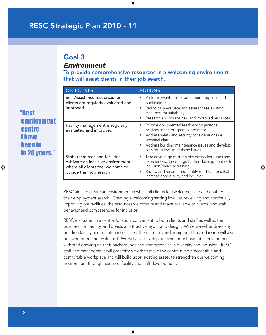# Goal 3

### *Environment*

To provide comprehensive resources in a welcoming environment that will assist clients in their job search.

 $\bigoplus$ 

| <b>OBJECTIVES</b>                                                                                                                     | <b>ACTIONS</b>                                                                                                                                                                                                                                              |
|---------------------------------------------------------------------------------------------------------------------------------------|-------------------------------------------------------------------------------------------------------------------------------------------------------------------------------------------------------------------------------------------------------------|
| Self-Assistance resources for<br>clients are regularly evaluated and<br>improved                                                      | Perform inventories of equipment, supplies and<br>publications<br>Periodically evaluate and assess these existing<br>resources for suitability<br>Research and source new and improved resources                                                            |
| Facility management is regularly<br>evaluated and improved                                                                            | Provide documented feedback on janitorial<br>$\bullet$<br>services to the program coordinator<br>Address safety and security considerations (ie<br>personal alarm)<br>Address building maintenance issues and develop<br>plan for follow-up of these issues |
| Staff, resources and facilities<br>cultivate an inclusive environment<br>where all clients feel welcome to<br>pursue their job search | Take advantage of staff's diverse backgrounds and<br>experiences. Encourage further development with<br>inclusion/diversity training.<br>Review and recommend facility modifications that<br>increase accessibility and inclusion.                          |

⊕

RESC aims to create an environment in which all clients feel welcome, safe and enabled in their employment search. Creating a welcoming setting involves reviewing and continually improving our facilities, the resources we procure and make available to clients, and staff behavior and competencies for inclusion.

RESC is situated in a central location, convenient to both clients and staff as well as the business community, and boasts an attractive layout and design. While we will address any building facility and maintenance issues, the materials and equipment housed inside will also be inventoried and evaluated. We will also develop an even more hospitable environment with staff drawing on their backgrounds and competencies in diversity and inclusion. RESC staff and management will proactively work to make the centre a more accessible and comfortable workplace and will build upon existing assets to strengthen our welcoming environment through resource, facility and staff development.

 $\bigoplus$ 

"Best employment centre I have been in in 20 years."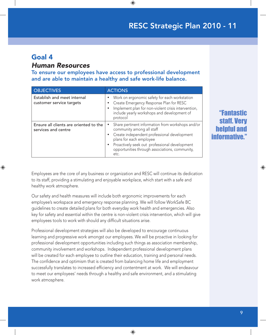### Goal 4

⊕

### *Human Resources*

To ensure our employees have access to professional development and are able to maintain a healthy and safe work-life balance.

 $\bigoplus$ 

| <b>OBJECTIVES</b>                                             | <b>ACTIONS</b>                                                                                                                                                                                                                                                                   |
|---------------------------------------------------------------|----------------------------------------------------------------------------------------------------------------------------------------------------------------------------------------------------------------------------------------------------------------------------------|
| Establish and meet internal<br>customer service targets       | Work on ergonomic safety for each workstation<br>$\bullet$<br>Create Emergency Response Plan for RESC<br>٠<br>Implement plan for non-violent crisis intervention,<br>$\bullet$<br>include yearly workshops and development of<br>protocol                                        |
| Ensure all clients are oriented to the<br>services and centre | Share pertinent information from workshops and/or<br>community among all staff<br>Create independent professional development<br>$\bullet$<br>plans for each employee<br>Proactively seek out professional development<br>opportunities through associations, community,<br>etc. |

"Fantastic staff. Ve helpful and informative."

⊕

Employees are the core of any business or organization and RESC will continue its dedication to its staff, providing a stimulating and enjoyable workplace, which start with a safe and healthy work atmosphere.

Our safety and health measures will include both ergonomic improvements for each employee's workspace and emergency response planning. We will follow WorkSafe BC guidelines to create detailed plans for both everyday work health and emergencies. Also key for safety and essential within the centre is non-violent crisis intervention, which will give employees tools to work with should any difficult situations arise.

Professional development strategies will also be developed to encourage continuous learning and progressive work amongst our employees. We will be proactive in looking for professional development opportunities including such things as association membership, community involvement and workshops. Independent professional development plans will be created for each employee to outline their education, training and personal needs. The confidence and optimism that is created from balancing home life and employment successfully translates to increased efficiency and contentment at work. We will endeavour to meet our employees' needs through a healthy and safe environment, and a stimulating work atmosphere.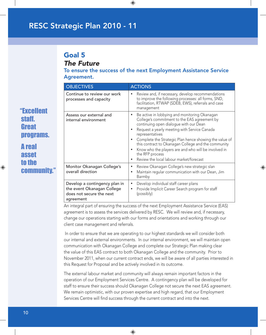# Goal 5

*The Future*

To ensure the success of the next Employment Assistance Service Agreement.

 $\bigoplus$ 

|  | <b>OBJECTIVES</b>                                                                                    | <b>ACTIONS</b>                                                                                                                                                                                                                                                                                                                                                                                                                                    |
|--|------------------------------------------------------------------------------------------------------|---------------------------------------------------------------------------------------------------------------------------------------------------------------------------------------------------------------------------------------------------------------------------------------------------------------------------------------------------------------------------------------------------------------------------------------------------|
|  | Continue to review our work<br>processes and capacity                                                | Review and, if necessary, develop recommendations<br>to improve the following processes: all forms, SND,<br>facilitation, RTWAP (SDEB, EWS), referrals and case<br>management                                                                                                                                                                                                                                                                     |
|  | Assess our external and<br>internal environment                                                      | Be active in lobbying and monitoring Okanagan<br>College's commitment to the EAS agreement by<br>continuing open dialogue with our Dean<br>Request a yearly meeting with Service Canada<br>representatives<br>Complete the Strategic Plan hence showing the value of<br>this contract to Okanagan College and the community<br>Know who the players are and who will be involved in<br>the RFP process<br>Review the local labour market/forecast |
|  | Monitor Okanagan College's<br>overall direction                                                      | Review Okanagan College's new strategic slan<br>Maintain regular communication with our Dean, Jim<br>٠<br>Barmby                                                                                                                                                                                                                                                                                                                                  |
|  | Develop a contingency plan in<br>the event Okanagan College<br>does not secure the next<br>agreement | Develop individual staff career plans<br>Provide Implicit Career Search program for staff<br>(possibly)                                                                                                                                                                                                                                                                                                                                           |

⊕

An integral part of ensuring the success of the next Employment Assistance Service (EAS) agreement is to assess the services delivered by RESC. We will review and, if necessary, change our operations starting with our forms and orientations and working through our client case management and referrals.

 In order to ensure that we are operating to our highest standards we will consider both our internal and external environments. In our internal environment, we will maintain open communication with Okanagan College and complete our Strategic Plan making clear the value of this EAS contract to both Okanagan College and the community. Prior to November 2011, when our current contract ends, we will be aware of all parties interested in this Request for Proposal and be actively involved in its outcome.

The external labour market and community will always remain important factors in the operation of our Employment Services Centre. A contingency plan will be developed for staff to ensure their success should Okanagan College not secure the next EAS agreement. We remain optimistic, with our proven expertise and high regard, that our Employment Services Centre will find success through the current contract and into the next.

 $\bigoplus$ 

♠

"Excellent

programs.

staff.

Great

A real

 asset to the

**commun** 

10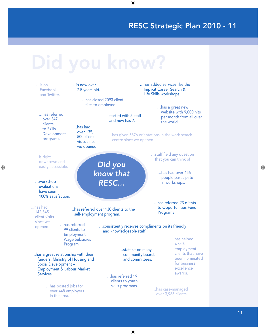

♠

 $\bigoplus$ 

⊕